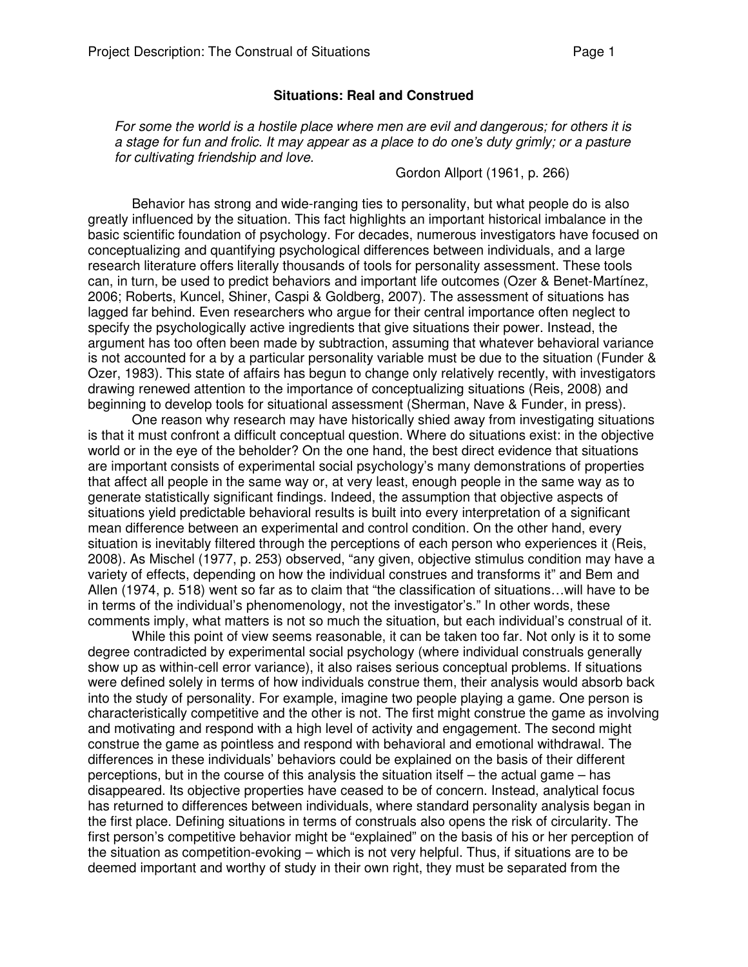### **Situations: Real and Construed**

For some the world is a hostile place where men are evil and dangerous; for others it is a stage for fun and frolic. It may appear as a place to do one's duty grimly; or a pasture for cultivating friendship and love.

Gordon Allport (1961, p. 266)

 Behavior has strong and wide-ranging ties to personality, but what people do is also greatly influenced by the situation. This fact highlights an important historical imbalance in the basic scientific foundation of psychology. For decades, numerous investigators have focused on conceptualizing and quantifying psychological differences between individuals, and a large research literature offers literally thousands of tools for personality assessment. These tools can, in turn, be used to predict behaviors and important life outcomes (Ozer & Benet-Martínez, 2006; Roberts, Kuncel, Shiner, Caspi & Goldberg, 2007). The assessment of situations has lagged far behind. Even researchers who argue for their central importance often neglect to specify the psychologically active ingredients that give situations their power. Instead, the argument has too often been made by subtraction, assuming that whatever behavioral variance is not accounted for a by a particular personality variable must be due to the situation (Funder & Ozer, 1983). This state of affairs has begun to change only relatively recently, with investigators drawing renewed attention to the importance of conceptualizing situations (Reis, 2008) and beginning to develop tools for situational assessment (Sherman, Nave & Funder, in press).

 One reason why research may have historically shied away from investigating situations is that it must confront a difficult conceptual question. Where do situations exist: in the objective world or in the eye of the beholder? On the one hand, the best direct evidence that situations are important consists of experimental social psychology's many demonstrations of properties that affect all people in the same way or, at very least, enough people in the same way as to generate statistically significant findings. Indeed, the assumption that objective aspects of situations yield predictable behavioral results is built into every interpretation of a significant mean difference between an experimental and control condition. On the other hand, every situation is inevitably filtered through the perceptions of each person who experiences it (Reis, 2008). As Mischel (1977, p. 253) observed, "any given, objective stimulus condition may have a variety of effects, depending on how the individual construes and transforms it" and Bem and Allen (1974, p. 518) went so far as to claim that "the classification of situations…will have to be in terms of the individual's phenomenology, not the investigator's." In other words, these comments imply, what matters is not so much the situation, but each individual's construal of it.

 While this point of view seems reasonable, it can be taken too far. Not only is it to some degree contradicted by experimental social psychology (where individual construals generally show up as within-cell error variance), it also raises serious conceptual problems. If situations were defined solely in terms of how individuals construe them, their analysis would absorb back into the study of personality. For example, imagine two people playing a game. One person is characteristically competitive and the other is not. The first might construe the game as involving and motivating and respond with a high level of activity and engagement. The second might construe the game as pointless and respond with behavioral and emotional withdrawal. The differences in these individuals' behaviors could be explained on the basis of their different perceptions, but in the course of this analysis the situation itself – the actual game – has disappeared. Its objective properties have ceased to be of concern. Instead, analytical focus has returned to differences between individuals, where standard personality analysis began in the first place. Defining situations in terms of construals also opens the risk of circularity. The first person's competitive behavior might be "explained" on the basis of his or her perception of the situation as competition-evoking – which is not very helpful. Thus, if situations are to be deemed important and worthy of study in their own right, they must be separated from the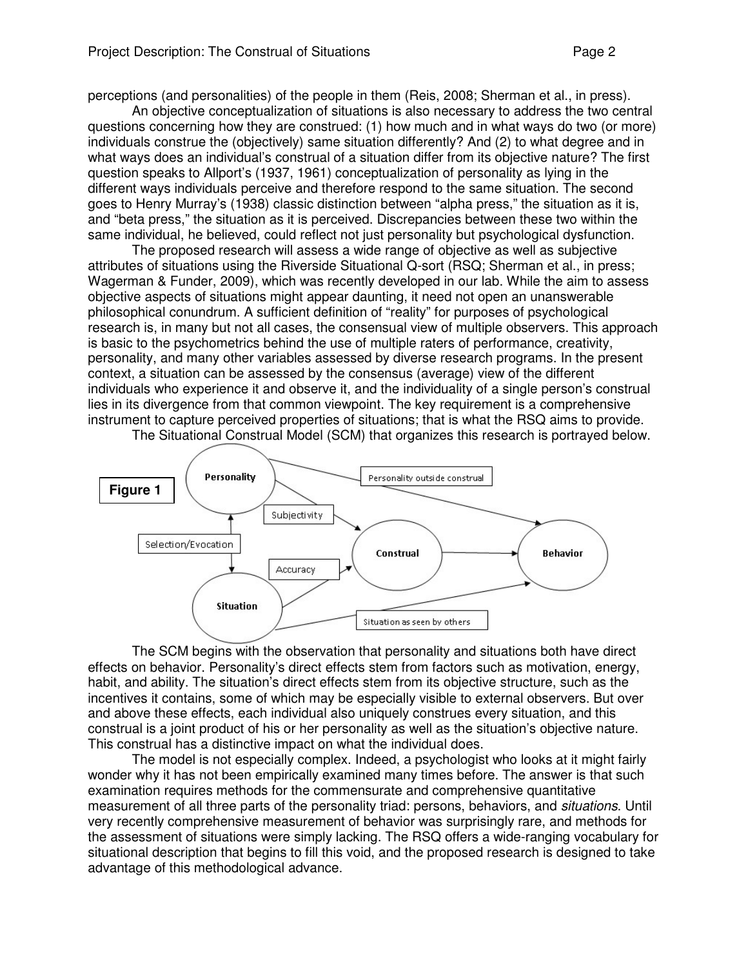perceptions (and personalities) of the people in them (Reis, 2008; Sherman et al., in press).

An objective conceptualization of situations is also necessary to address the two central questions concerning how they are construed: (1) how much and in what ways do two (or more) individuals construe the (objectively) same situation differently? And (2) to what degree and in what ways does an individual's construal of a situation differ from its objective nature? The first question speaks to Allport's (1937, 1961) conceptualization of personality as lying in the different ways individuals perceive and therefore respond to the same situation. The second goes to Henry Murray's (1938) classic distinction between "alpha press," the situation as it is, and "beta press," the situation as it is perceived. Discrepancies between these two within the same individual, he believed, could reflect not just personality but psychological dysfunction.

The proposed research will assess a wide range of objective as well as subjective attributes of situations using the Riverside Situational Q-sort (RSQ; Sherman et al., in press; Wagerman & Funder, 2009), which was recently developed in our lab. While the aim to assess objective aspects of situations might appear daunting, it need not open an unanswerable philosophical conundrum. A sufficient definition of "reality" for purposes of psychological research is, in many but not all cases, the consensual view of multiple observers. This approach is basic to the psychometrics behind the use of multiple raters of performance, creativity, personality, and many other variables assessed by diverse research programs. In the present context, a situation can be assessed by the consensus (average) view of the different individuals who experience it and observe it, and the individuality of a single person's construal lies in its divergence from that common viewpoint. The key requirement is a comprehensive instrument to capture perceived properties of situations; that is what the RSQ aims to provide.



The Situational Construal Model (SCM) that organizes this research is portrayed below.

The SCM begins with the observation that personality and situations both have direct effects on behavior. Personality's direct effects stem from factors such as motivation, energy, habit, and ability. The situation's direct effects stem from its objective structure, such as the incentives it contains, some of which may be especially visible to external observers. But over and above these effects, each individual also uniquely construes every situation, and this construal is a joint product of his or her personality as well as the situation's objective nature. This construal has a distinctive impact on what the individual does.

 The model is not especially complex. Indeed, a psychologist who looks at it might fairly wonder why it has not been empirically examined many times before. The answer is that such examination requires methods for the commensurate and comprehensive quantitative measurement of all three parts of the personality triad: persons, behaviors, and situations. Until very recently comprehensive measurement of behavior was surprisingly rare, and methods for the assessment of situations were simply lacking. The RSQ offers a wide-ranging vocabulary for situational description that begins to fill this void, and the proposed research is designed to take advantage of this methodological advance.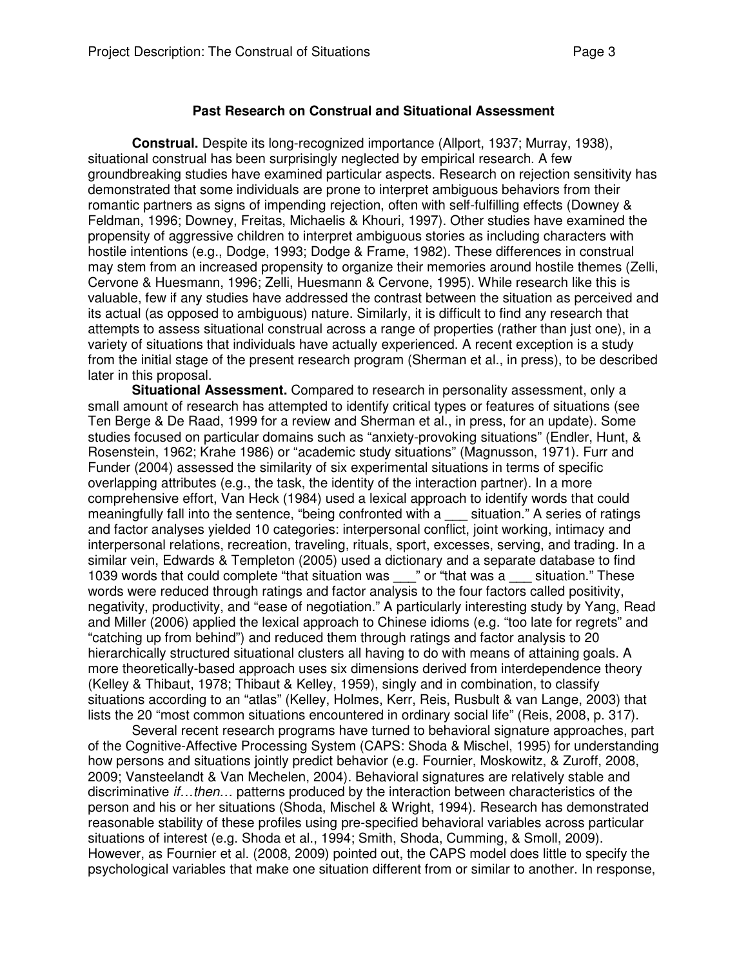## **Past Research on Construal and Situational Assessment**

**Construal.** Despite its long-recognized importance (Allport, 1937; Murray, 1938), situational construal has been surprisingly neglected by empirical research. A few groundbreaking studies have examined particular aspects. Research on rejection sensitivity has demonstrated that some individuals are prone to interpret ambiguous behaviors from their romantic partners as signs of impending rejection, often with self-fulfilling effects (Downey & Feldman, 1996; Downey, Freitas, Michaelis & Khouri, 1997). Other studies have examined the propensity of aggressive children to interpret ambiguous stories as including characters with hostile intentions (e.g., Dodge, 1993; Dodge & Frame, 1982). These differences in construal may stem from an increased propensity to organize their memories around hostile themes (Zelli, Cervone & Huesmann, 1996; Zelli, Huesmann & Cervone, 1995). While research like this is valuable, few if any studies have addressed the contrast between the situation as perceived and its actual (as opposed to ambiguous) nature. Similarly, it is difficult to find any research that attempts to assess situational construal across a range of properties (rather than just one), in a variety of situations that individuals have actually experienced. A recent exception is a study from the initial stage of the present research program (Sherman et al., in press), to be described later in this proposal.

**Situational Assessment.** Compared to research in personality assessment, only a small amount of research has attempted to identify critical types or features of situations (see Ten Berge & De Raad, 1999 for a review and Sherman et al., in press, for an update). Some studies focused on particular domains such as "anxiety-provoking situations" (Endler, Hunt, & Rosenstein, 1962; Krahe 1986) or "academic study situations" (Magnusson, 1971). Furr and Funder (2004) assessed the similarity of six experimental situations in terms of specific overlapping attributes (e.g., the task, the identity of the interaction partner). In a more comprehensive effort, Van Heck (1984) used a lexical approach to identify words that could meaningfully fall into the sentence, "being confronted with a situation." A series of ratings and factor analyses yielded 10 categories: interpersonal conflict, joint working, intimacy and interpersonal relations, recreation, traveling, rituals, sport, excesses, serving, and trading. In a similar vein, Edwards & Templeton (2005) used a dictionary and a separate database to find 1039 words that could complete "that situation was zimes " or "that was a zituation." These words were reduced through ratings and factor analysis to the four factors called positivity, negativity, productivity, and "ease of negotiation." A particularly interesting study by Yang, Read and Miller (2006) applied the lexical approach to Chinese idioms (e.g. "too late for regrets" and "catching up from behind") and reduced them through ratings and factor analysis to 20 hierarchically structured situational clusters all having to do with means of attaining goals. A more theoretically-based approach uses six dimensions derived from interdependence theory (Kelley & Thibaut, 1978; Thibaut & Kelley, 1959), singly and in combination, to classify situations according to an "atlas" (Kelley, Holmes, Kerr, Reis, Rusbult & van Lange, 2003) that lists the 20 "most common situations encountered in ordinary social life" (Reis, 2008, p. 317).

Several recent research programs have turned to behavioral signature approaches, part of the Cognitive-Affective Processing System (CAPS: Shoda & Mischel, 1995) for understanding how persons and situations jointly predict behavior (e.g. Fournier, Moskowitz, & Zuroff, 2008, 2009; Vansteelandt & Van Mechelen, 2004). Behavioral signatures are relatively stable and discriminative *if...then...* patterns produced by the interaction between characteristics of the person and his or her situations (Shoda, Mischel & Wright, 1994). Research has demonstrated reasonable stability of these profiles using pre-specified behavioral variables across particular situations of interest (e.g. Shoda et al., 1994; Smith, Shoda, Cumming, & Smoll, 2009). However, as Fournier et al. (2008, 2009) pointed out, the CAPS model does little to specify the psychological variables that make one situation different from or similar to another. In response,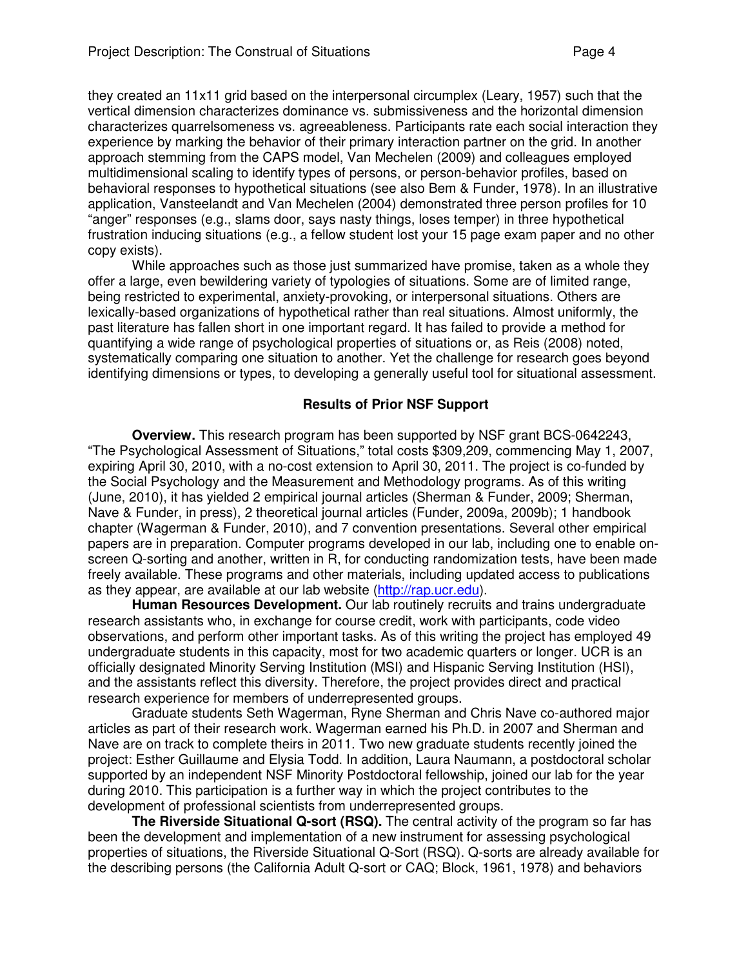they created an 11x11 grid based on the interpersonal circumplex (Leary, 1957) such that the vertical dimension characterizes dominance vs. submissiveness and the horizontal dimension characterizes quarrelsomeness vs. agreeableness. Participants rate each social interaction they experience by marking the behavior of their primary interaction partner on the grid. In another approach stemming from the CAPS model, Van Mechelen (2009) and colleagues employed multidimensional scaling to identify types of persons, or person-behavior profiles, based on behavioral responses to hypothetical situations (see also Bem & Funder, 1978). In an illustrative application, Vansteelandt and Van Mechelen (2004) demonstrated three person profiles for 10 "anger" responses (e.g., slams door, says nasty things, loses temper) in three hypothetical frustration inducing situations (e.g., a fellow student lost your 15 page exam paper and no other copy exists).

While approaches such as those just summarized have promise, taken as a whole they offer a large, even bewildering variety of typologies of situations. Some are of limited range, being restricted to experimental, anxiety-provoking, or interpersonal situations. Others are lexically-based organizations of hypothetical rather than real situations. Almost uniformly, the past literature has fallen short in one important regard. It has failed to provide a method for quantifying a wide range of psychological properties of situations or, as Reis (2008) noted, systematically comparing one situation to another. Yet the challenge for research goes beyond identifying dimensions or types, to developing a generally useful tool for situational assessment.

### **Results of Prior NSF Support**

**Overview.** This research program has been supported by NSF grant BCS-0642243, "The Psychological Assessment of Situations," total costs \$309,209, commencing May 1, 2007, expiring April 30, 2010, with a no-cost extension to April 30, 2011. The project is co-funded by the Social Psychology and the Measurement and Methodology programs. As of this writing (June, 2010), it has yielded 2 empirical journal articles (Sherman & Funder, 2009; Sherman, Nave & Funder, in press), 2 theoretical journal articles (Funder, 2009a, 2009b); 1 handbook chapter (Wagerman & Funder, 2010), and 7 convention presentations. Several other empirical papers are in preparation. Computer programs developed in our lab, including one to enable onscreen Q-sorting and another, written in R, for conducting randomization tests, have been made freely available. These programs and other materials, including updated access to publications as they appear, are available at our lab website (http://rap.ucr.edu).

**Human Resources Development.** Our lab routinely recruits and trains undergraduate research assistants who, in exchange for course credit, work with participants, code video observations, and perform other important tasks. As of this writing the project has employed 49 undergraduate students in this capacity, most for two academic quarters or longer. UCR is an officially designated Minority Serving Institution (MSI) and Hispanic Serving Institution (HSI), and the assistants reflect this diversity. Therefore, the project provides direct and practical research experience for members of underrepresented groups.

Graduate students Seth Wagerman, Ryne Sherman and Chris Nave co-authored major articles as part of their research work. Wagerman earned his Ph.D. in 2007 and Sherman and Nave are on track to complete theirs in 2011. Two new graduate students recently joined the project: Esther Guillaume and Elysia Todd. In addition, Laura Naumann, a postdoctoral scholar supported by an independent NSF Minority Postdoctoral fellowship, joined our lab for the year during 2010. This participation is a further way in which the project contributes to the development of professional scientists from underrepresented groups.

**The Riverside Situational Q-sort (RSQ).** The central activity of the program so far has been the development and implementation of a new instrument for assessing psychological properties of situations, the Riverside Situational Q-Sort (RSQ). Q-sorts are already available for the describing persons (the California Adult Q-sort or CAQ; Block, 1961, 1978) and behaviors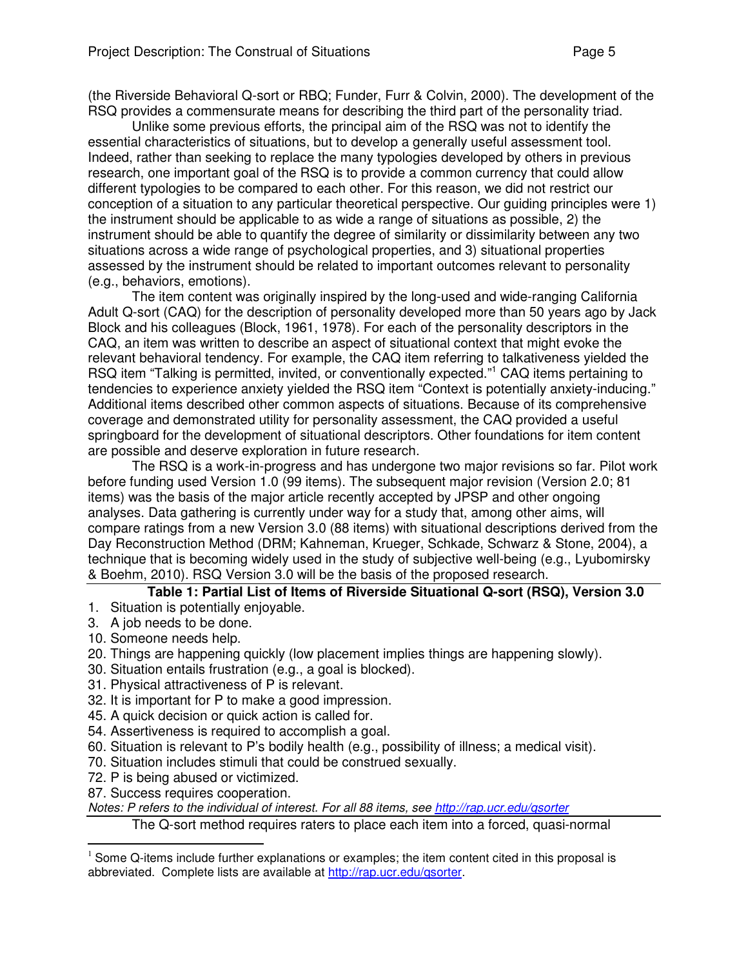(the Riverside Behavioral Q-sort or RBQ; Funder, Furr & Colvin, 2000). The development of the RSQ provides a commensurate means for describing the third part of the personality triad.

Unlike some previous efforts, the principal aim of the RSQ was not to identify the essential characteristics of situations, but to develop a generally useful assessment tool. Indeed, rather than seeking to replace the many typologies developed by others in previous research, one important goal of the RSQ is to provide a common currency that could allow different typologies to be compared to each other. For this reason, we did not restrict our conception of a situation to any particular theoretical perspective. Our guiding principles were 1) the instrument should be applicable to as wide a range of situations as possible, 2) the instrument should be able to quantify the degree of similarity or dissimilarity between any two situations across a wide range of psychological properties, and 3) situational properties assessed by the instrument should be related to important outcomes relevant to personality (e.g., behaviors, emotions).

The item content was originally inspired by the long-used and wide-ranging California Adult Q-sort (CAQ) for the description of personality developed more than 50 years ago by Jack Block and his colleagues (Block, 1961, 1978). For each of the personality descriptors in the CAQ, an item was written to describe an aspect of situational context that might evoke the relevant behavioral tendency. For example, the CAQ item referring to talkativeness yielded the RSQ item "Talking is permitted, invited, or conventionally expected."<sup>1</sup> CAQ items pertaining to tendencies to experience anxiety yielded the RSQ item "Context is potentially anxiety-inducing." Additional items described other common aspects of situations. Because of its comprehensive coverage and demonstrated utility for personality assessment, the CAQ provided a useful springboard for the development of situational descriptors. Other foundations for item content are possible and deserve exploration in future research.

The RSQ is a work-in-progress and has undergone two major revisions so far. Pilot work before funding used Version 1.0 (99 items). The subsequent major revision (Version 2.0; 81 items) was the basis of the major article recently accepted by JPSP and other ongoing analyses. Data gathering is currently under way for a study that, among other aims, will compare ratings from a new Version 3.0 (88 items) with situational descriptions derived from the Day Reconstruction Method (DRM; Kahneman, Krueger, Schkade, Schwarz & Stone, 2004), a technique that is becoming widely used in the study of subjective well-being (e.g., Lyubomirsky & Boehm, 2010). RSQ Version 3.0 will be the basis of the proposed research.

# **Table 1: Partial List of Items of Riverside Situational Q-sort (RSQ), Version 3.0**

- 1. Situation is potentially enjoyable.
- 3. A job needs to be done.
- 10. Someone needs help.
- 20. Things are happening quickly (low placement implies things are happening slowly).
- 30. Situation entails frustration (e.g., a goal is blocked).
- 31. Physical attractiveness of P is relevant.
- 32. It is important for P to make a good impression.
- 45. A quick decision or quick action is called for.
- 54. Assertiveness is required to accomplish a goal.
- 60. Situation is relevant to P's bodily health (e.g., possibility of illness; a medical visit).
- 70. Situation includes stimuli that could be construed sexually.
- 72. P is being abused or victimized.
- 87. Success requires cooperation.

 $\overline{a}$ 

Notes: P refers to the individual of interest. For all 88 items, see http://rap.ucr.edu/qsorter

The Q-sort method requires raters to place each item into a forced, quasi-normal

 $1$  Some Q-items include further explanations or examples; the item content cited in this proposal is abbreviated. Complete lists are available at http://rap.ucr.edu/qsorter.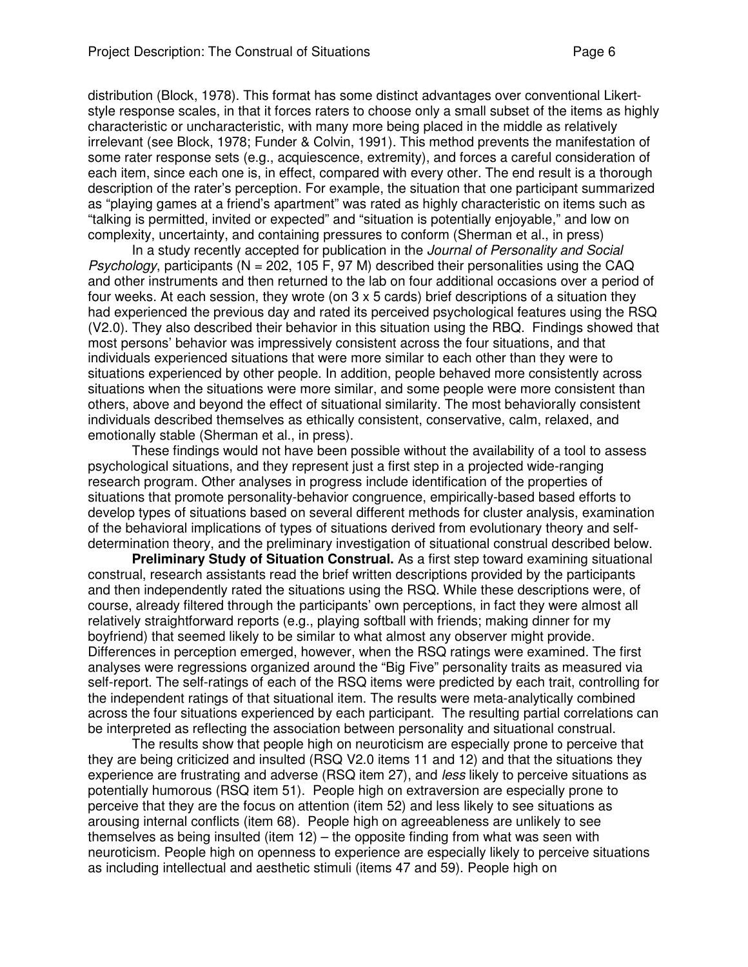distribution (Block, 1978). This format has some distinct advantages over conventional Likertstyle response scales, in that it forces raters to choose only a small subset of the items as highly characteristic or uncharacteristic, with many more being placed in the middle as relatively irrelevant (see Block, 1978; Funder & Colvin, 1991). This method prevents the manifestation of some rater response sets (e.g., acquiescence, extremity), and forces a careful consideration of each item, since each one is, in effect, compared with every other. The end result is a thorough description of the rater's perception. For example, the situation that one participant summarized as "playing games at a friend's apartment" was rated as highly characteristic on items such as "talking is permitted, invited or expected" and "situation is potentially enjoyable," and low on complexity, uncertainty, and containing pressures to conform (Sherman et al., in press)

In a study recently accepted for publication in the Journal of Personality and Social *Psychology*, participants ( $N = 202$ , 105 F, 97 M) described their personalities using the CAQ and other instruments and then returned to the lab on four additional occasions over a period of four weeks. At each session, they wrote (on 3 x 5 cards) brief descriptions of a situation they had experienced the previous day and rated its perceived psychological features using the RSQ (V2.0). They also described their behavior in this situation using the RBQ. Findings showed that most persons' behavior was impressively consistent across the four situations, and that individuals experienced situations that were more similar to each other than they were to situations experienced by other people. In addition, people behaved more consistently across situations when the situations were more similar, and some people were more consistent than others, above and beyond the effect of situational similarity. The most behaviorally consistent individuals described themselves as ethically consistent, conservative, calm, relaxed, and emotionally stable (Sherman et al., in press).

These findings would not have been possible without the availability of a tool to assess psychological situations, and they represent just a first step in a projected wide-ranging research program. Other analyses in progress include identification of the properties of situations that promote personality-behavior congruence, empirically-based based efforts to develop types of situations based on several different methods for cluster analysis, examination of the behavioral implications of types of situations derived from evolutionary theory and selfdetermination theory, and the preliminary investigation of situational construal described below.

**Preliminary Study of Situation Construal.** As a first step toward examining situational construal, research assistants read the brief written descriptions provided by the participants and then independently rated the situations using the RSQ. While these descriptions were, of course, already filtered through the participants' own perceptions, in fact they were almost all relatively straightforward reports (e.g., playing softball with friends; making dinner for my boyfriend) that seemed likely to be similar to what almost any observer might provide. Differences in perception emerged, however, when the RSQ ratings were examined. The first analyses were regressions organized around the "Big Five" personality traits as measured via self-report. The self-ratings of each of the RSQ items were predicted by each trait, controlling for the independent ratings of that situational item. The results were meta-analytically combined across the four situations experienced by each participant. The resulting partial correlations can be interpreted as reflecting the association between personality and situational construal.

The results show that people high on neuroticism are especially prone to perceive that they are being criticized and insulted (RSQ V2.0 items 11 and 12) and that the situations they experience are frustrating and adverse (RSQ item 27), and less likely to perceive situations as potentially humorous (RSQ item 51). People high on extraversion are especially prone to perceive that they are the focus on attention (item 52) and less likely to see situations as arousing internal conflicts (item 68). People high on agreeableness are unlikely to see themselves as being insulted (item 12) – the opposite finding from what was seen with neuroticism. People high on openness to experience are especially likely to perceive situations as including intellectual and aesthetic stimuli (items 47 and 59). People high on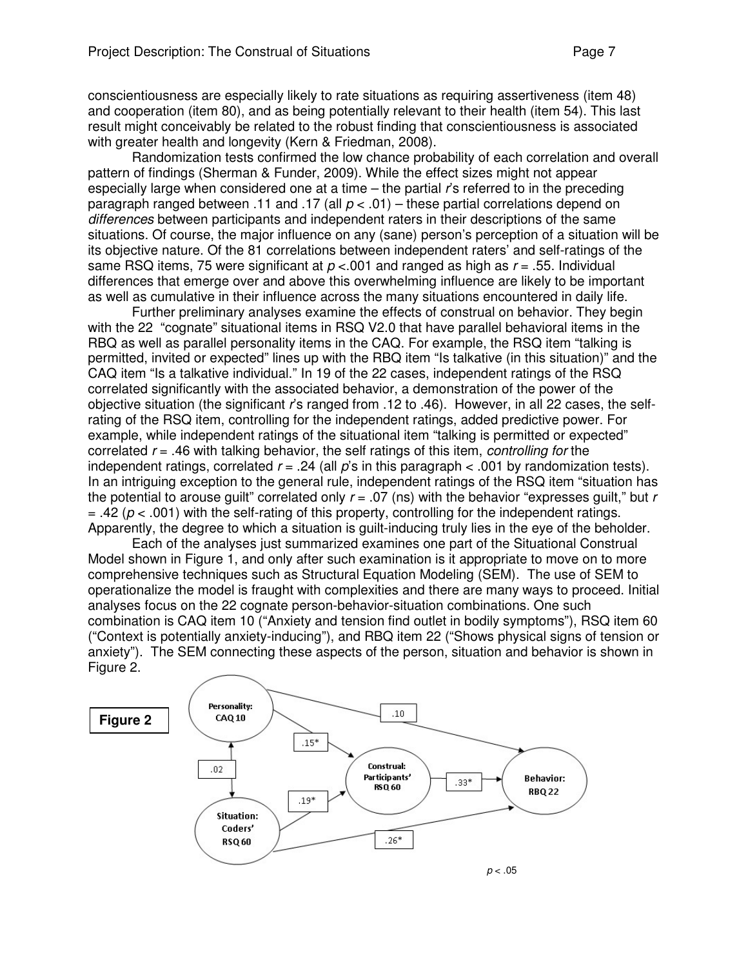conscientiousness are especially likely to rate situations as requiring assertiveness (item 48) and cooperation (item 80), and as being potentially relevant to their health (item 54). This last result might conceivably be related to the robust finding that conscientiousness is associated with greater health and longevity (Kern & Friedman, 2008).

Randomization tests confirmed the low chance probability of each correlation and overall pattern of findings (Sherman & Funder, 2009). While the effect sizes might not appear especially large when considered one at a time – the partial r's referred to in the preceding paragraph ranged between .11 and .17 (all  $p < .01$ ) – these partial correlations depend on differences between participants and independent raters in their descriptions of the same situations. Of course, the major influence on any (sane) person's perception of a situation will be its objective nature. Of the 81 correlations between independent raters' and self-ratings of the same RSQ items, 75 were significant at  $p < 0.01$  and ranged as high as  $r = .55$ . Individual differences that emerge over and above this overwhelming influence are likely to be important as well as cumulative in their influence across the many situations encountered in daily life.

Further preliminary analyses examine the effects of construal on behavior. They begin with the 22 "cognate" situational items in RSQ V2.0 that have parallel behavioral items in the RBQ as well as parallel personality items in the CAQ. For example, the RSQ item "talking is permitted, invited or expected" lines up with the RBQ item "Is talkative (in this situation)" and the CAQ item "Is a talkative individual." In 19 of the 22 cases, independent ratings of the RSQ correlated significantly with the associated behavior, a demonstration of the power of the objective situation (the significant r's ranged from .12 to .46). However, in all 22 cases, the selfrating of the RSQ item, controlling for the independent ratings, added predictive power. For example, while independent ratings of the situational item "talking is permitted or expected" correlated  $r = .46$  with talking behavior, the self ratings of this item, *controlling for* the independent ratings, correlated  $r = .24$  (all p's in this paragraph  $\lt$  0.01 by randomization tests). In an intriguing exception to the general rule, independent ratings of the RSQ item "situation has the potential to arouse guilt" correlated only  $r = .07$  (ns) with the behavior "expresses guilt," but r  $=$  .42 ( $p <$  .001) with the self-rating of this property, controlling for the independent ratings. Apparently, the degree to which a situation is guilt-inducing truly lies in the eye of the beholder.

Each of the analyses just summarized examines one part of the Situational Construal Model shown in Figure 1, and only after such examination is it appropriate to move on to more comprehensive techniques such as Structural Equation Modeling (SEM). The use of SEM to operationalize the model is fraught with complexities and there are many ways to proceed. Initial analyses focus on the 22 cognate person-behavior-situation combinations. One such combination is CAQ item 10 ("Anxiety and tension find outlet in bodily symptoms"), RSQ item 60 ("Context is potentially anxiety-inducing"), and RBQ item 22 ("Shows physical signs of tension or anxiety"). The SEM connecting these aspects of the person, situation and behavior is shown in Figure 2.

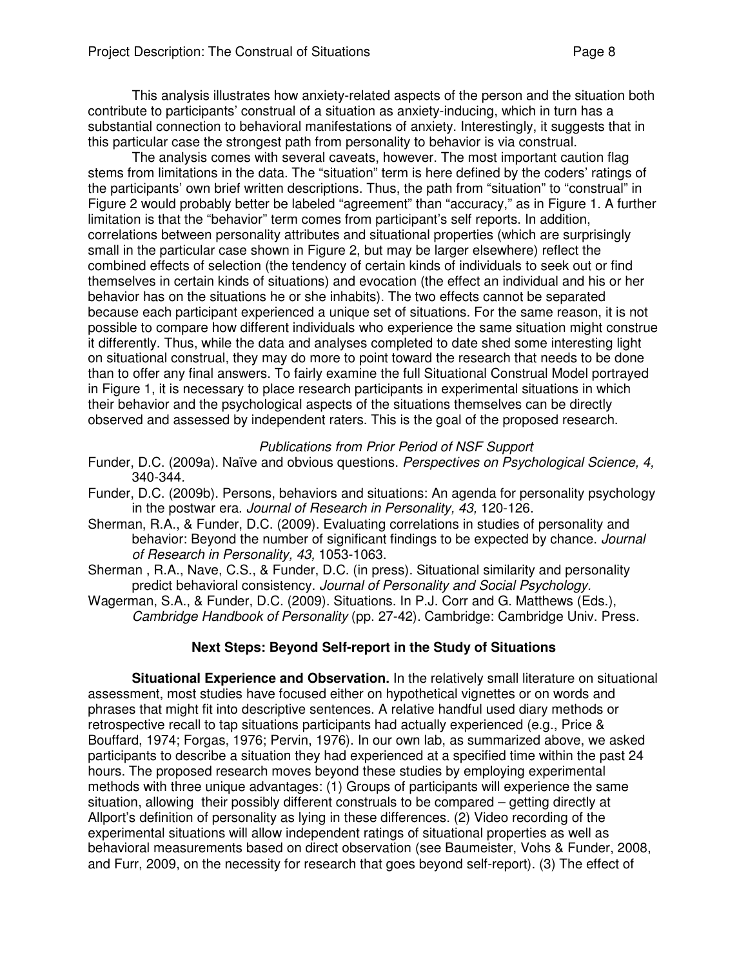This analysis illustrates how anxiety-related aspects of the person and the situation both contribute to participants' construal of a situation as anxiety-inducing, which in turn has a substantial connection to behavioral manifestations of anxiety. Interestingly, it suggests that in this particular case the strongest path from personality to behavior is via construal.

The analysis comes with several caveats, however. The most important caution flag stems from limitations in the data. The "situation" term is here defined by the coders' ratings of the participants' own brief written descriptions. Thus, the path from "situation" to "construal" in Figure 2 would probably better be labeled "agreement" than "accuracy," as in Figure 1. A further limitation is that the "behavior" term comes from participant's self reports. In addition, correlations between personality attributes and situational properties (which are surprisingly small in the particular case shown in Figure 2, but may be larger elsewhere) reflect the combined effects of selection (the tendency of certain kinds of individuals to seek out or find themselves in certain kinds of situations) and evocation (the effect an individual and his or her behavior has on the situations he or she inhabits). The two effects cannot be separated because each participant experienced a unique set of situations. For the same reason, it is not possible to compare how different individuals who experience the same situation might construe it differently. Thus, while the data and analyses completed to date shed some interesting light on situational construal, they may do more to point toward the research that needs to be done than to offer any final answers. To fairly examine the full Situational Construal Model portrayed in Figure 1, it is necessary to place research participants in experimental situations in which their behavior and the psychological aspects of the situations themselves can be directly observed and assessed by independent raters. This is the goal of the proposed research.

### Publications from Prior Period of NSF Support

- Funder, D.C. (2009a). Naïve and obvious questions. Perspectives on Psychological Science, 4, 340-344.
- Funder, D.C. (2009b). Persons, behaviors and situations: An agenda for personality psychology in the postwar era. Journal of Research in Personality, 43, 120-126.
- Sherman, R.A., & Funder, D.C. (2009). Evaluating correlations in studies of personality and behavior: Beyond the number of significant findings to be expected by chance. Journal of Research in Personality, 43, 1053-1063.
- Sherman , R.A., Nave, C.S., & Funder, D.C. (in press). Situational similarity and personality predict behavioral consistency. Journal of Personality and Social Psychology.
- Wagerman, S.A., & Funder, D.C. (2009). Situations. In P.J. Corr and G. Matthews (Eds.), Cambridge Handbook of Personality (pp. 27-42). Cambridge: Cambridge Univ. Press.

## **Next Steps: Beyond Self-report in the Study of Situations**

**Situational Experience and Observation.** In the relatively small literature on situational assessment, most studies have focused either on hypothetical vignettes or on words and phrases that might fit into descriptive sentences. A relative handful used diary methods or retrospective recall to tap situations participants had actually experienced (e.g., Price & Bouffard, 1974; Forgas, 1976; Pervin, 1976). In our own lab, as summarized above, we asked participants to describe a situation they had experienced at a specified time within the past 24 hours. The proposed research moves beyond these studies by employing experimental methods with three unique advantages: (1) Groups of participants will experience the same situation, allowing their possibly different construals to be compared – getting directly at Allport's definition of personality as lying in these differences. (2) Video recording of the experimental situations will allow independent ratings of situational properties as well as behavioral measurements based on direct observation (see Baumeister, Vohs & Funder, 2008, and Furr, 2009, on the necessity for research that goes beyond self-report). (3) The effect of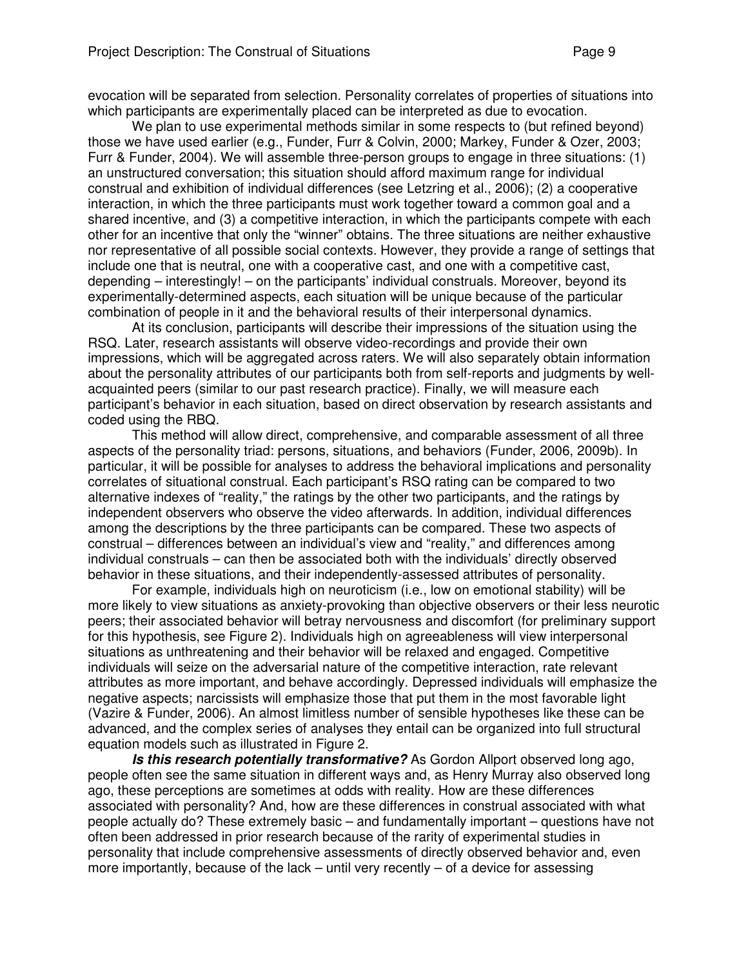evocation will be separated from selection. Personality correlates of properties of situations into which participants are experimentally placed can be interpreted as due to evocation.

We plan to use experimental methods similar in some respects to (but refined beyond) those we have used earlier (e.g., Funder, Furr & Colvin, 2000; Markey, Funder & Ozer, 2003; Furr & Funder, 2004). We will assemble three-person groups to engage in three situations: (1) an unstructured conversation; this situation should afford maximum range for individual construal and exhibition of individual differences (see Letzring et al., 2006); (2) a cooperative interaction, in which the three participants must work together toward a common goal and a shared incentive, and (3) a competitive interaction, in which the participants compete with each other for an incentive that only the "winner" obtains. The three situations are neither exhaustive nor representative of all possible social contexts. However, they provide a range of settings that include one that is neutral, one with a cooperative cast, and one with a competitive cast, depending – interestingly! – on the participants' individual construals. Moreover, beyond its experimentally-determined aspects, each situation will be unique because of the particular combination of people in it and the behavioral results of their interpersonal dynamics.

At its conclusion, participants will describe their impressions of the situation using the RSQ. Later, research assistants will observe video-recordings and provide their own impressions, which will be aggregated across raters. We will also separately obtain information about the personality attributes of our participants both from self-reports and judgments by wellacquainted peers (similar to our past research practice). Finally, we will measure each participant's behavior in each situation, based on direct observation by research assistants and coded using the RBQ.

This method will allow direct, comprehensive, and comparable assessment of all three aspects of the personality triad: persons, situations, and behaviors (Funder, 2006, 2009b). In particular, it will be possible for analyses to address the behavioral implications and personality correlates of situational construal. Each participant's RSQ rating can be compared to two alternative indexes of "reality," the ratings by the other two participants, and the ratings by independent observers who observe the video afterwards. In addition, individual differences among the descriptions by the three participants can be compared. These two aspects of construal – differences between an individual's view and "reality," and differences among individual construals – can then be associated both with the individuals' directly observed behavior in these situations, and their independently-assessed attributes of personality.

For example, individuals high on neuroticism (i.e., low on emotional stability) will be more likely to view situations as anxiety-provoking than objective observers or their less neurotic peers; their associated behavior will betray nervousness and discomfort (for preliminary support for this hypothesis, see Figure 2). Individuals high on agreeableness will view interpersonal situations as unthreatening and their behavior will be relaxed and engaged. Competitive individuals will seize on the adversarial nature of the competitive interaction, rate relevant attributes as more important, and behave accordingly. Depressed individuals will emphasize the negative aspects; narcissists will emphasize those that put them in the most favorable light (Vazire & Funder, 2006). An almost limitless number of sensible hypotheses like these can be advanced, and the complex series of analyses they entail can be organized into full structural equation models such as illustrated in Figure 2.

**Is this research potentially transformative?** As Gordon Allport observed long ago, people often see the same situation in different ways and, as Henry Murray also observed long ago, these perceptions are sometimes at odds with reality. How are these differences associated with personality? And, how are these differences in construal associated with what people actually do? These extremely basic – and fundamentally important – questions have not often been addressed in prior research because of the rarity of experimental studies in personality that include comprehensive assessments of directly observed behavior and, even more importantly, because of the lack – until very recently – of a device for assessing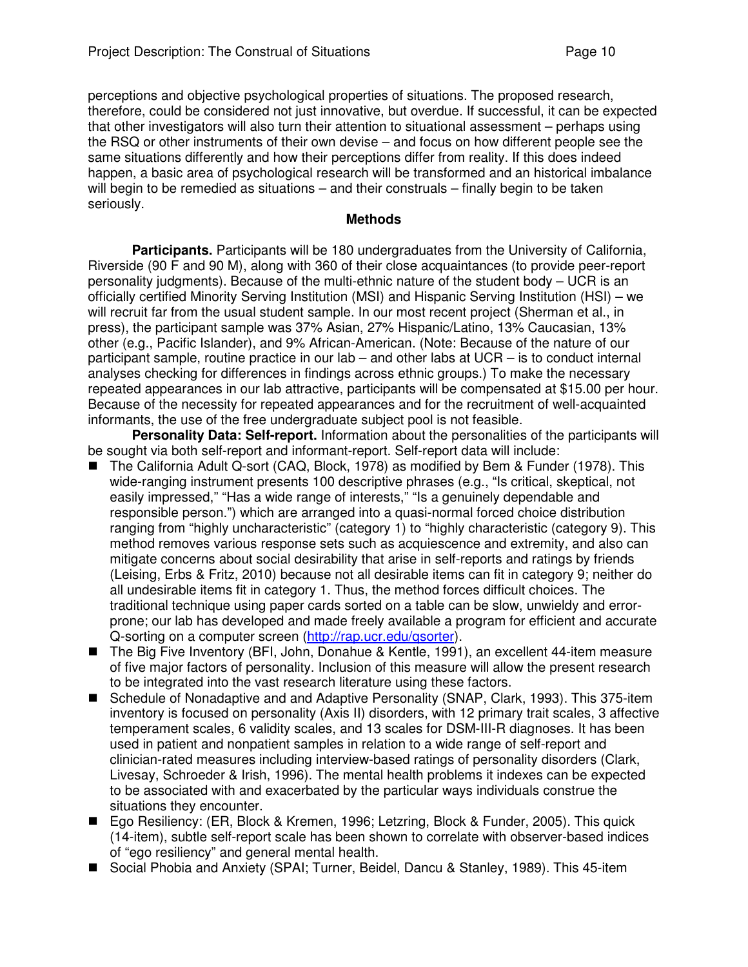perceptions and objective psychological properties of situations. The proposed research, therefore, could be considered not just innovative, but overdue. If successful, it can be expected that other investigators will also turn their attention to situational assessment – perhaps using the RSQ or other instruments of their own devise – and focus on how different people see the same situations differently and how their perceptions differ from reality. If this does indeed happen, a basic area of psychological research will be transformed and an historical imbalance will begin to be remedied as situations – and their construals – finally begin to be taken seriously.

#### **Methods**

**Participants.** Participants will be 180 undergraduates from the University of California, Riverside (90 F and 90 M), along with 360 of their close acquaintances (to provide peer-report personality judgments). Because of the multi-ethnic nature of the student body – UCR is an officially certified Minority Serving Institution (MSI) and Hispanic Serving Institution (HSI) – we will recruit far from the usual student sample. In our most recent project (Sherman et al., in press), the participant sample was 37% Asian, 27% Hispanic/Latino, 13% Caucasian, 13% other (e.g., Pacific Islander), and 9% African-American. (Note: Because of the nature of our participant sample, routine practice in our lab – and other labs at UCR – is to conduct internal analyses checking for differences in findings across ethnic groups.) To make the necessary repeated appearances in our lab attractive, participants will be compensated at \$15.00 per hour. Because of the necessity for repeated appearances and for the recruitment of well-acquainted informants, the use of the free undergraduate subject pool is not feasible.

**Personality Data: Self-report.** Information about the personalities of the participants will be sought via both self-report and informant-report. Self-report data will include:

- The California Adult Q-sort (CAQ, Block, 1978) as modified by Bem & Funder (1978). This wide-ranging instrument presents 100 descriptive phrases (e.g., "Is critical, skeptical, not easily impressed," "Has a wide range of interests," "Is a genuinely dependable and responsible person.") which are arranged into a quasi-normal forced choice distribution ranging from "highly uncharacteristic" (category 1) to "highly characteristic (category 9). This method removes various response sets such as acquiescence and extremity, and also can mitigate concerns about social desirability that arise in self-reports and ratings by friends (Leising, Erbs & Fritz, 2010) because not all desirable items can fit in category 9; neither do all undesirable items fit in category 1. Thus, the method forces difficult choices. The traditional technique using paper cards sorted on a table can be slow, unwieldy and errorprone; our lab has developed and made freely available a program for efficient and accurate Q-sorting on a computer screen (http://rap.ucr.edu/qsorter).
- The Big Five Inventory (BFI, John, Donahue & Kentle, 1991), an excellent 44-item measure of five major factors of personality. Inclusion of this measure will allow the present research to be integrated into the vast research literature using these factors.
- Schedule of Nonadaptive and and Adaptive Personality (SNAP, Clark, 1993). This 375-item inventory is focused on personality (Axis II) disorders, with 12 primary trait scales, 3 affective temperament scales, 6 validity scales, and 13 scales for DSM-III-R diagnoses. It has been used in patient and nonpatient samples in relation to a wide range of self-report and clinician-rated measures including interview-based ratings of personality disorders (Clark, Livesay, Schroeder & Irish, 1996). The mental health problems it indexes can be expected to be associated with and exacerbated by the particular ways individuals construe the situations they encounter.
- Ego Resiliency: (ER, Block & Kremen, 1996; Letzring, Block & Funder, 2005). This quick (14-item), subtle self-report scale has been shown to correlate with observer-based indices of "ego resiliency" and general mental health.
- Social Phobia and Anxiety (SPAI; Turner, Beidel, Dancu & Stanley, 1989). This 45-item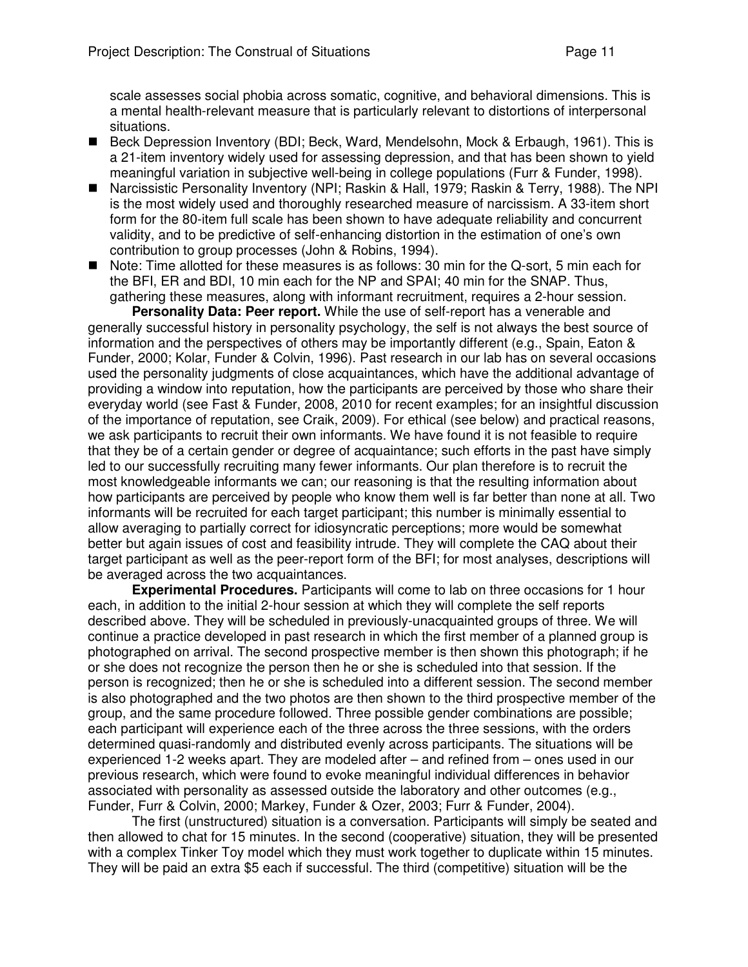scale assesses social phobia across somatic, cognitive, and behavioral dimensions. This is a mental health-relevant measure that is particularly relevant to distortions of interpersonal situations.

- Beck Depression Inventory (BDI; Beck, Ward, Mendelsohn, Mock & Erbaugh, 1961). This is a 21-item inventory widely used for assessing depression, and that has been shown to yield meaningful variation in subjective well-being in college populations (Furr & Funder, 1998).
- Narcissistic Personality Inventory (NPI; Raskin & Hall, 1979; Raskin & Terry, 1988). The NPI is the most widely used and thoroughly researched measure of narcissism. A 33-item short form for the 80-item full scale has been shown to have adequate reliability and concurrent validity, and to be predictive of self-enhancing distortion in the estimation of one's own contribution to group processes (John & Robins, 1994).
- Note: Time allotted for these measures is as follows: 30 min for the Q-sort, 5 min each for the BFI, ER and BDI, 10 min each for the NP and SPAI; 40 min for the SNAP. Thus, gathering these measures, along with informant recruitment, requires a 2-hour session.

**Personality Data: Peer report.** While the use of self-report has a venerable and generally successful history in personality psychology, the self is not always the best source of information and the perspectives of others may be importantly different (e.g., Spain, Eaton & Funder, 2000; Kolar, Funder & Colvin, 1996). Past research in our lab has on several occasions used the personality judgments of close acquaintances, which have the additional advantage of providing a window into reputation, how the participants are perceived by those who share their everyday world (see Fast & Funder, 2008, 2010 for recent examples; for an insightful discussion of the importance of reputation, see Craik, 2009). For ethical (see below) and practical reasons, we ask participants to recruit their own informants. We have found it is not feasible to require that they be of a certain gender or degree of acquaintance; such efforts in the past have simply led to our successfully recruiting many fewer informants. Our plan therefore is to recruit the most knowledgeable informants we can; our reasoning is that the resulting information about how participants are perceived by people who know them well is far better than none at all. Two informants will be recruited for each target participant; this number is minimally essential to allow averaging to partially correct for idiosyncratic perceptions; more would be somewhat better but again issues of cost and feasibility intrude. They will complete the CAQ about their target participant as well as the peer-report form of the BFI; for most analyses, descriptions will be averaged across the two acquaintances.

**Experimental Procedures.** Participants will come to lab on three occasions for 1 hour each, in addition to the initial 2-hour session at which they will complete the self reports described above. They will be scheduled in previously-unacquainted groups of three. We will continue a practice developed in past research in which the first member of a planned group is photographed on arrival. The second prospective member is then shown this photograph; if he or she does not recognize the person then he or she is scheduled into that session. If the person is recognized; then he or she is scheduled into a different session. The second member is also photographed and the two photos are then shown to the third prospective member of the group, and the same procedure followed. Three possible gender combinations are possible; each participant will experience each of the three across the three sessions, with the orders determined quasi-randomly and distributed evenly across participants. The situations will be experienced 1-2 weeks apart. They are modeled after – and refined from – ones used in our previous research, which were found to evoke meaningful individual differences in behavior associated with personality as assessed outside the laboratory and other outcomes (e.g., Funder, Furr & Colvin, 2000; Markey, Funder & Ozer, 2003; Furr & Funder, 2004).

 The first (unstructured) situation is a conversation. Participants will simply be seated and then allowed to chat for 15 minutes. In the second (cooperative) situation, they will be presented with a complex Tinker Toy model which they must work together to duplicate within 15 minutes. They will be paid an extra \$5 each if successful. The third (competitive) situation will be the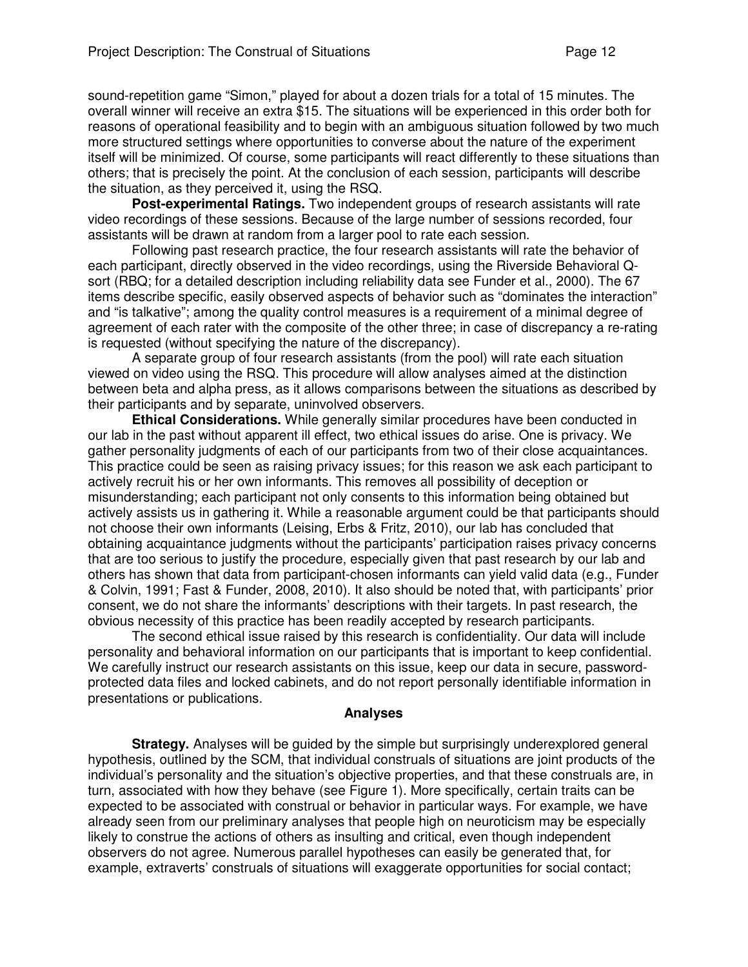sound-repetition game "Simon," played for about a dozen trials for a total of 15 minutes. The overall winner will receive an extra \$15. The situations will be experienced in this order both for reasons of operational feasibility and to begin with an ambiguous situation followed by two much more structured settings where opportunities to converse about the nature of the experiment itself will be minimized. Of course, some participants will react differently to these situations than others; that is precisely the point. At the conclusion of each session, participants will describe the situation, as they perceived it, using the RSQ.

**Post-experimental Ratings.** Two independent groups of research assistants will rate video recordings of these sessions. Because of the large number of sessions recorded, four assistants will be drawn at random from a larger pool to rate each session.

Following past research practice, the four research assistants will rate the behavior of each participant, directly observed in the video recordings, using the Riverside Behavioral Qsort (RBQ; for a detailed description including reliability data see Funder et al., 2000). The 67 items describe specific, easily observed aspects of behavior such as "dominates the interaction" and "is talkative"; among the quality control measures is a requirement of a minimal degree of agreement of each rater with the composite of the other three; in case of discrepancy a re-rating is requested (without specifying the nature of the discrepancy).

 A separate group of four research assistants (from the pool) will rate each situation viewed on video using the RSQ. This procedure will allow analyses aimed at the distinction between beta and alpha press, as it allows comparisons between the situations as described by their participants and by separate, uninvolved observers.

**Ethical Considerations.** While generally similar procedures have been conducted in our lab in the past without apparent ill effect, two ethical issues do arise. One is privacy. We gather personality judgments of each of our participants from two of their close acquaintances. This practice could be seen as raising privacy issues; for this reason we ask each participant to actively recruit his or her own informants. This removes all possibility of deception or misunderstanding; each participant not only consents to this information being obtained but actively assists us in gathering it. While a reasonable argument could be that participants should not choose their own informants (Leising, Erbs & Fritz, 2010), our lab has concluded that obtaining acquaintance judgments without the participants' participation raises privacy concerns that are too serious to justify the procedure, especially given that past research by our lab and others has shown that data from participant-chosen informants can yield valid data (e.g., Funder & Colvin, 1991; Fast & Funder, 2008, 2010). It also should be noted that, with participants' prior consent, we do not share the informants' descriptions with their targets. In past research, the obvious necessity of this practice has been readily accepted by research participants.

The second ethical issue raised by this research is confidentiality. Our data will include personality and behavioral information on our participants that is important to keep confidential. We carefully instruct our research assistants on this issue, keep our data in secure, passwordprotected data files and locked cabinets, and do not report personally identifiable information in presentations or publications.

#### **Analyses**

**Strategy.** Analyses will be guided by the simple but surprisingly underexplored general hypothesis, outlined by the SCM, that individual construals of situations are joint products of the individual's personality and the situation's objective properties, and that these construals are, in turn, associated with how they behave (see Figure 1). More specifically, certain traits can be expected to be associated with construal or behavior in particular ways. For example, we have already seen from our preliminary analyses that people high on neuroticism may be especially likely to construe the actions of others as insulting and critical, even though independent observers do not agree. Numerous parallel hypotheses can easily be generated that, for example, extraverts' construals of situations will exaggerate opportunities for social contact;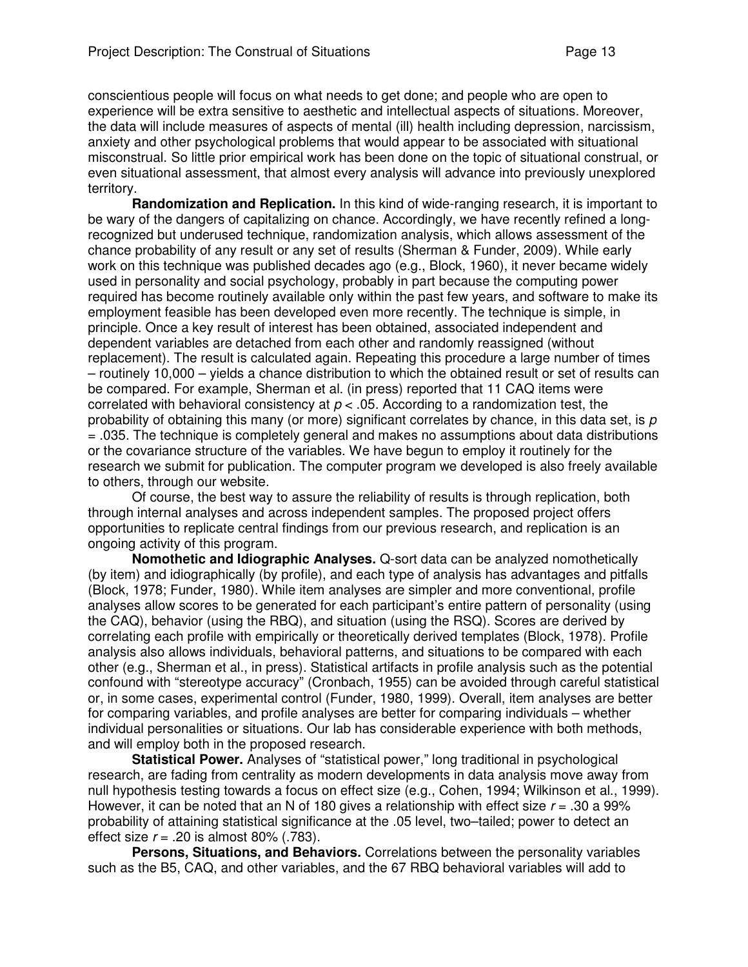conscientious people will focus on what needs to get done; and people who are open to experience will be extra sensitive to aesthetic and intellectual aspects of situations. Moreover, the data will include measures of aspects of mental (ill) health including depression, narcissism, anxiety and other psychological problems that would appear to be associated with situational misconstrual. So little prior empirical work has been done on the topic of situational construal, or even situational assessment, that almost every analysis will advance into previously unexplored territory.

**Randomization and Replication.** In this kind of wide-ranging research, it is important to be wary of the dangers of capitalizing on chance. Accordingly, we have recently refined a longrecognized but underused technique, randomization analysis, which allows assessment of the chance probability of any result or any set of results (Sherman & Funder, 2009). While early work on this technique was published decades ago (e.g., Block, 1960), it never became widely used in personality and social psychology, probably in part because the computing power required has become routinely available only within the past few years, and software to make its employment feasible has been developed even more recently. The technique is simple, in principle. Once a key result of interest has been obtained, associated independent and dependent variables are detached from each other and randomly reassigned (without replacement). The result is calculated again. Repeating this procedure a large number of times – routinely 10,000 – yields a chance distribution to which the obtained result or set of results can be compared. For example, Sherman et al. (in press) reported that 11 CAQ items were correlated with behavioral consistency at  $p < .05$ . According to a randomization test, the probability of obtaining this many (or more) significant correlates by chance, in this data set, is  $p$ = .035. The technique is completely general and makes no assumptions about data distributions or the covariance structure of the variables. We have begun to employ it routinely for the research we submit for publication. The computer program we developed is also freely available to others, through our website.

Of course, the best way to assure the reliability of results is through replication, both through internal analyses and across independent samples. The proposed project offers opportunities to replicate central findings from our previous research, and replication is an ongoing activity of this program.

**Nomothetic and Idiographic Analyses.** Q-sort data can be analyzed nomothetically (by item) and idiographically (by profile), and each type of analysis has advantages and pitfalls (Block, 1978; Funder, 1980). While item analyses are simpler and more conventional, profile analyses allow scores to be generated for each participant's entire pattern of personality (using the CAQ), behavior (using the RBQ), and situation (using the RSQ). Scores are derived by correlating each profile with empirically or theoretically derived templates (Block, 1978). Profile analysis also allows individuals, behavioral patterns, and situations to be compared with each other (e.g., Sherman et al., in press). Statistical artifacts in profile analysis such as the potential confound with "stereotype accuracy" (Cronbach, 1955) can be avoided through careful statistical or, in some cases, experimental control (Funder, 1980, 1999). Overall, item analyses are better for comparing variables, and profile analyses are better for comparing individuals – whether individual personalities or situations. Our lab has considerable experience with both methods, and will employ both in the proposed research.

**Statistical Power.** Analyses of "statistical power," long traditional in psychological research, are fading from centrality as modern developments in data analysis move away from null hypothesis testing towards a focus on effect size (e.g., Cohen, 1994; Wilkinson et al., 1999). However, it can be noted that an N of 180 gives a relationship with effect size  $r = .30$  a 99% probability of attaining statistical significance at the .05 level, two–tailed; power to detect an effect size  $r = .20$  is almost 80% (.783).

**Persons, Situations, and Behaviors.** Correlations between the personality variables such as the B5, CAQ, and other variables, and the 67 RBQ behavioral variables will add to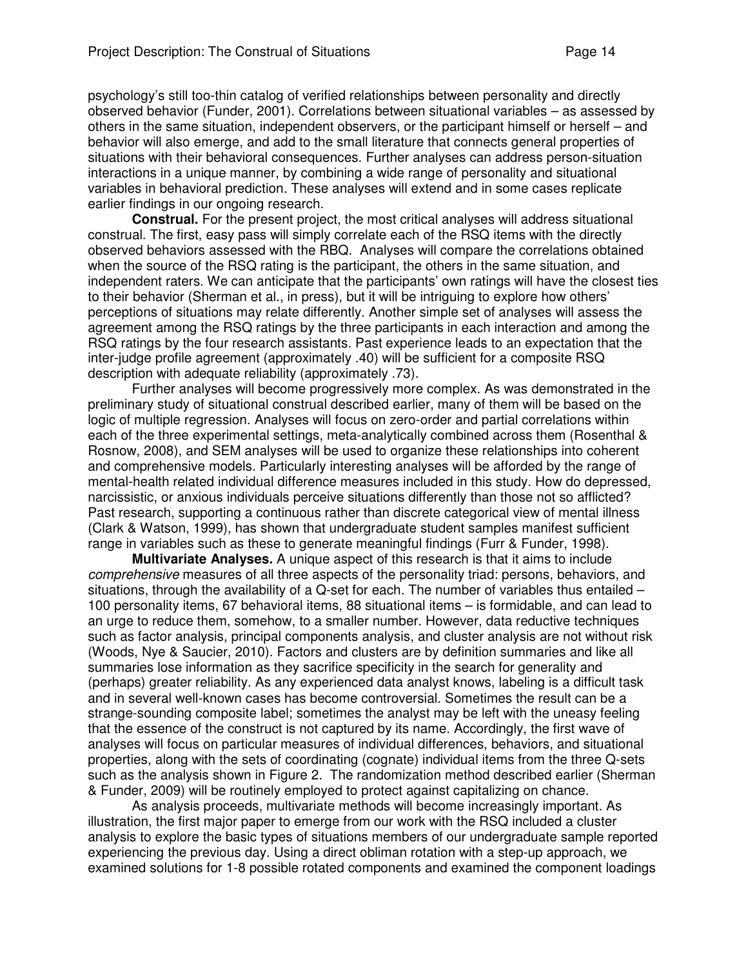psychology's still too-thin catalog of verified relationships between personality and directly observed behavior (Funder, 2001). Correlations between situational variables – as assessed by others in the same situation, independent observers, or the participant himself or herself – and behavior will also emerge, and add to the small literature that connects general properties of situations with their behavioral consequences. Further analyses can address person-situation interactions in a unique manner, by combining a wide range of personality and situational variables in behavioral prediction. These analyses will extend and in some cases replicate earlier findings in our ongoing research.

**Construal.** For the present project, the most critical analyses will address situational construal. The first, easy pass will simply correlate each of the RSQ items with the directly observed behaviors assessed with the RBQ. Analyses will compare the correlations obtained when the source of the RSQ rating is the participant, the others in the same situation, and independent raters. We can anticipate that the participants' own ratings will have the closest ties to their behavior (Sherman et al., in press), but it will be intriguing to explore how others' perceptions of situations may relate differently. Another simple set of analyses will assess the agreement among the RSQ ratings by the three participants in each interaction and among the RSQ ratings by the four research assistants. Past experience leads to an expectation that the inter-judge profile agreement (approximately .40) will be sufficient for a composite RSQ description with adequate reliability (approximately .73).

Further analyses will become progressively more complex. As was demonstrated in the preliminary study of situational construal described earlier, many of them will be based on the logic of multiple regression. Analyses will focus on zero-order and partial correlations within each of the three experimental settings, meta-analytically combined across them (Rosenthal & Rosnow, 2008), and SEM analyses will be used to organize these relationships into coherent and comprehensive models. Particularly interesting analyses will be afforded by the range of mental-health related individual difference measures included in this study. How do depressed, narcissistic, or anxious individuals perceive situations differently than those not so afflicted? Past research, supporting a continuous rather than discrete categorical view of mental illness (Clark & Watson, 1999), has shown that undergraduate student samples manifest sufficient range in variables such as these to generate meaningful findings (Furr & Funder, 1998).

**Multivariate Analyses.** A unique aspect of this research is that it aims to include comprehensive measures of all three aspects of the personality triad: persons, behaviors, and situations, through the availability of a Q-set for each. The number of variables thus entailed – 100 personality items, 67 behavioral items, 88 situational items – is formidable, and can lead to an urge to reduce them, somehow, to a smaller number. However, data reductive techniques such as factor analysis, principal components analysis, and cluster analysis are not without risk (Woods, Nye & Saucier, 2010). Factors and clusters are by definition summaries and like all summaries lose information as they sacrifice specificity in the search for generality and (perhaps) greater reliability. As any experienced data analyst knows, labeling is a difficult task and in several well-known cases has become controversial. Sometimes the result can be a strange-sounding composite label; sometimes the analyst may be left with the uneasy feeling that the essence of the construct is not captured by its name. Accordingly, the first wave of analyses will focus on particular measures of individual differences, behaviors, and situational properties, along with the sets of coordinating (cognate) individual items from the three Q-sets such as the analysis shown in Figure 2. The randomization method described earlier (Sherman & Funder, 2009) will be routinely employed to protect against capitalizing on chance.

As analysis proceeds, multivariate methods will become increasingly important. As illustration, the first major paper to emerge from our work with the RSQ included a cluster analysis to explore the basic types of situations members of our undergraduate sample reported experiencing the previous day. Using a direct obliman rotation with a step-up approach, we examined solutions for 1-8 possible rotated components and examined the component loadings